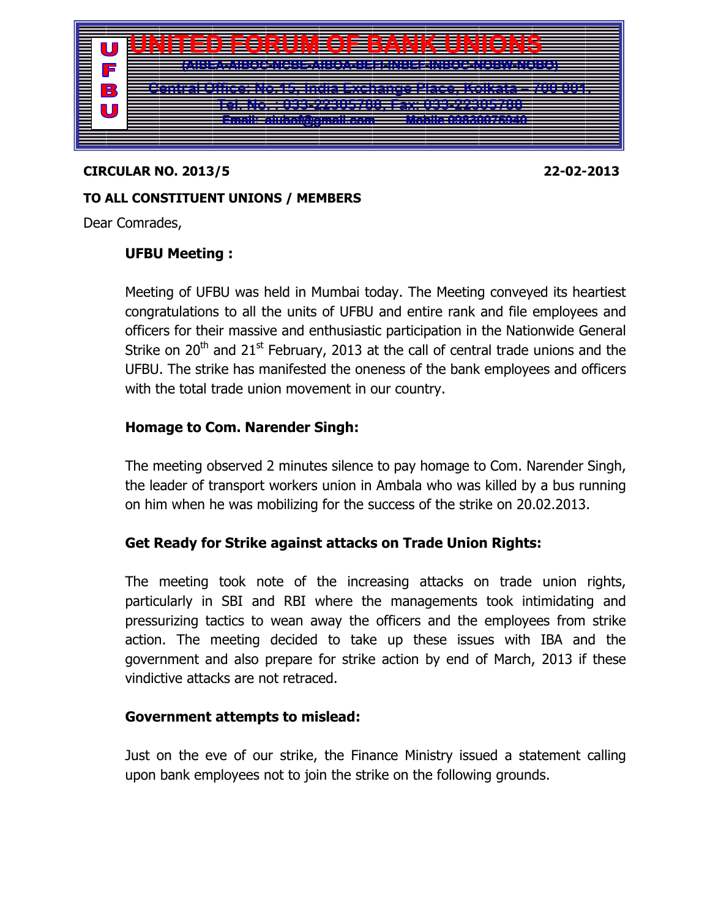

#### CIRCULAR NO. 2013/5 22-02-2013

### TO ALL CONSTITUENT UNIONS / MEMBERS

Dear Comrades,

# UFBU Meeting :

Meeting of UFBU was held in Mumbai today. The Meeting conveyed its heartiest congratulations to all the units of UFBU and entire rank and file employees and officers for their massive and enthusiastic participation in the Nationwide General Strike on  $20<sup>th</sup>$  and  $21<sup>st</sup>$  February, 2013 at the call of central trade unions and the UFBU. The strike has manifested the oneness of the bank employees and officers with the total trade union movement in our country.

# Homage to Com. Narender Singh:

The meeting observed 2 minutes silence to pay homage to Com. Narender Singh, the leader of transport workers union in Ambala who was killed by a bus running on him when he was mobilizing for the success of the strike on 20.02.2013.

# Get Ready for Strike against attacks on Trade Union Rights:

The meeting took note of the increasing attacks on trade union rights, particularly in SBI and RBI where the managements took intimidating and pressurizing tactics to wean away the officers and the employees from strike action. The meeting decided to take up these issues with IBA and the government and also prepare for strike action by end of March, 2013 if these vindictive attacks are not retraced.

# Government attempts to mislead:

Just on the eve of our strike, the Finance Ministry issued a statement calling upon bank employees not to join the strike on the following grounds.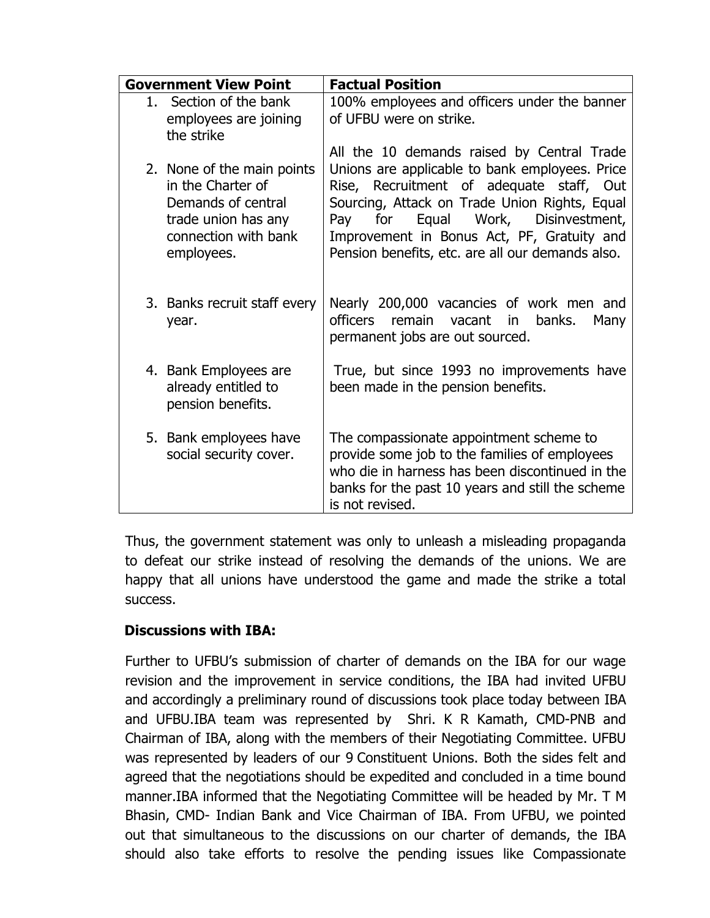| <b>Government View Point</b> |                                                                                                                                    | <b>Factual Position</b>                                                                                                                                                                                                                                                                   |
|------------------------------|------------------------------------------------------------------------------------------------------------------------------------|-------------------------------------------------------------------------------------------------------------------------------------------------------------------------------------------------------------------------------------------------------------------------------------------|
|                              | 1. Section of the bank<br>employees are joining<br>the strike                                                                      | 100% employees and officers under the banner<br>of UFBU were on strike.<br>All the 10 demands raised by Central Trade                                                                                                                                                                     |
|                              | 2. None of the main points<br>in the Charter of<br>Demands of central<br>trade union has any<br>connection with bank<br>employees. | Unions are applicable to bank employees. Price<br>Rise, Recruitment of adequate staff, Out<br>Sourcing, Attack on Trade Union Rights, Equal<br>Equal Work, Disinvestment,<br>Pay<br>for<br>Improvement in Bonus Act, PF, Gratuity and<br>Pension benefits, etc. are all our demands also. |
|                              | 3. Banks recruit staff every<br>year.                                                                                              | Nearly 200,000 vacancies of work men and<br>officers remain vacant<br>banks.<br>in<br>Many<br>permanent jobs are out sourced.                                                                                                                                                             |
|                              | 4. Bank Employees are<br>already entitled to<br>pension benefits.                                                                  | True, but since 1993 no improvements have<br>been made in the pension benefits.                                                                                                                                                                                                           |
|                              | 5. Bank employees have<br>social security cover.                                                                                   | The compassionate appointment scheme to<br>provide some job to the families of employees<br>who die in harness has been discontinued in the<br>banks for the past 10 years and still the scheme<br>is not revised.                                                                        |

Thus, the government statement was only to unleash a misleading propaganda to defeat our strike instead of resolving the demands of the unions. We are happy that all unions have understood the game and made the strike a total success.

# Discussions with IBA:

Further to UFBU's submission of charter of demands on the IBA for our wage revision and the improvement in service conditions, the IBA had invited UFBU and accordingly a preliminary round of discussions took place today between IBA and UFBU.IBA team was represented by Shri. K R Kamath, CMD-PNB and Chairman of IBA, along with the members of their Negotiating Committee. UFBU was represented by leaders of our 9 Constituent Unions. Both the sides felt and agreed that the negotiations should be expedited and concluded in a time bound manner.IBA informed that the Negotiating Committee will be headed by Mr. T M Bhasin, CMD- Indian Bank and Vice Chairman of IBA. From UFBU, we pointed out that simultaneous to the discussions on our charter of demands, the IBA should also take efforts to resolve the pending issues like Compassionate